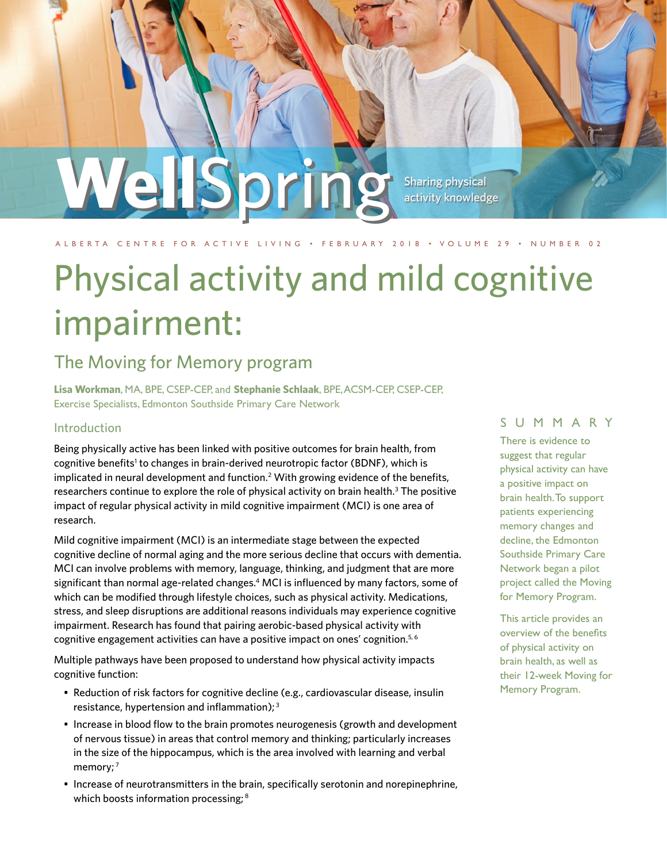## Sharing physical activity knowledge WellSpring

#### A L B E RTA C E N T R E FOR ACTIVE LIVING • FE BRUARY 2018 • VOLUME 29 • NUMBER 02

# Physical activity and mild cognitive impairment:

### The Moving for Memory program

**Lisa Workman**, MA, BPE, CSEP-CEP, and **Stephanie Schlaak**, BPE, ACSM-CEP, CSEP-CEP, Exercise Specialists, Edmonton Southside Primary Care Network

#### Introduction

Being physically active has been linked with positive outcomes for brain health, from cognitive benefits<sup>1</sup> to changes in brain-derived neurotropic factor (BDNF), which is implicated in neural development and function.2 With growing evidence of the benefits, researchers continue to explore the role of physical activity on brain health.<sup>3</sup> The positive impact of regular physical activity in mild cognitive impairment (MCI) is one area of research.

Mild cognitive impairment (MCI) is an intermediate stage between the expected cognitive decline of normal aging and the more serious decline that occurs with dementia. MCI can involve problems with memory, language, thinking, and judgment that are more significant than normal age-related changes.4 MCI is influenced by many factors, some of which can be modified through lifestyle choices, such as physical activity. Medications, stress, and sleep disruptions are additional reasons individuals may experience cognitive impairment. Research has found that pairing aerobic-based physical activity with cognitive engagement activities can have a positive impact on ones' cognition.<sup>5, 6</sup>

Multiple pathways have been proposed to understand how physical activity impacts cognitive function:

- Reduction of risk factors for cognitive decline (e.g., cardiovascular disease, insulin resistance, hypertension and inflammation); 3
- Increase in blood flow to the brain promotes neurogenesis (growth and development of nervous tissue) in areas that control memory and thinking; particularly increases in the size of the hippocampus, which is the area involved with learning and verbal memory;<sup>7</sup>
- Increase of neurotransmitters in the brain, specifically serotonin and norepinephrine, which boosts information processing;<sup>8</sup>

#### SUMMARY

There is evidence to suggest that regular physical activity can have a positive impact on brain health. To support patients experiencing memory changes and decline, the Edmonton Southside Primary Care Network began a pilot project called the Moving for Memory Program.

This article provides an overview of the benefits of physical activity on brain health, as well as their 12-week Moving for Memory Program.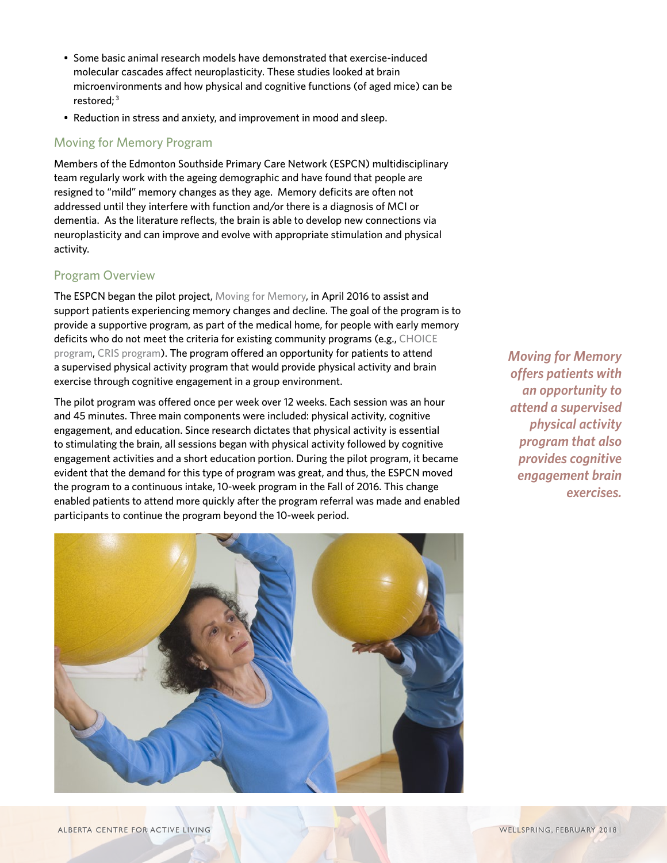- Some basic animal research models have demonstrated that exercise-induced molecular cascades affect neuroplasticity. These studies looked at brain microenvironments and how physical and cognitive functions (of aged mice) can be restored;<sup>3</sup>
- Reduction in stress and anxiety, and improvement in mood and sleep.

#### Moving for Memory Program

Members of the Edmonton Southside Primary Care Network (ESPCN) multidisciplinary team regularly work with the ageing demographic and have found that people are resigned to "mild" memory changes as they age. Memory deficits are often not addressed until they interfere with function and/or there is a diagnosis of MCI or dementia. As the literature reflects, the brain is able to develop new connections via neuroplasticity and can improve and evolve with appropriate stimulation and physical activity.

#### Program Overview

The ESPCN began the pilot project, [Moving for Memory,](http://www.edmontonsouthsidepcn.ca/workshop/moving-for-memory/) in April 2016 to assist and support patients experiencing memory changes and decline. The goal of the program is to provide a supportive program, as part of the medical home, for people with early memory deficits who do not meet the criteria for existing community programs (e.g., [CHOICE](https://www.albertahealthservices.ca/info/service.aspx?id=1001469)  [program](https://www.albertahealthservices.ca/info/service.aspx?id=1001469), [CRIS program](https://www.albertahealthservices.ca/info/service.aspx?id=1009703)). The program offered an opportunity for patients to attend a supervised physical activity program that would provide physical activity and brain exercise through cognitive engagement in a group environment.

The pilot program was offered once per week over 12 weeks. Each session was an hour and 45 minutes. Three main components were included: physical activity, cognitive engagement, and education. Since research dictates that physical activity is essential to stimulating the brain, all sessions began with physical activity followed by cognitive engagement activities and a short education portion. During the pilot program, it became evident that the demand for this type of program was great, and thus, the ESPCN moved the program to a continuous intake, 10-week program in the Fall of 2016. This change enabled patients to attend more quickly after the program referral was made and enabled participants to continue the program beyond the 10-week period.

*Moving for Memory offers patients with an opportunity to attend a supervised physical activity program that also provides cognitive engagement brain exercises.* 

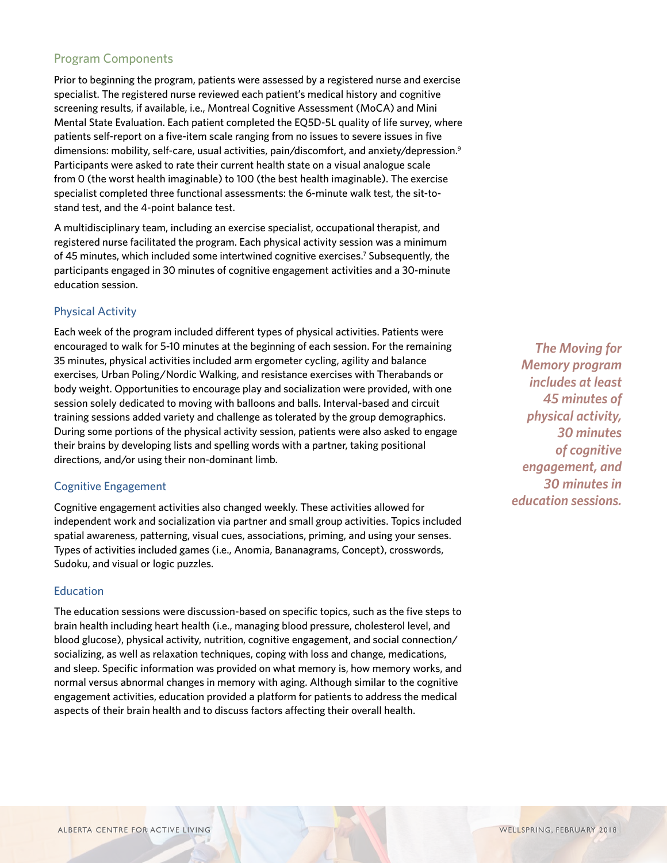#### Program Components

Prior to beginning the program, patients were assessed by a registered nurse and exercise specialist. The registered nurse reviewed each patient's medical history and cognitive screening results, if available, i.e., Montreal Cognitive Assessment (MoCA) and Mini Mental State Evaluation. Each patient completed the EQ5D-5L quality of life survey, where patients self-report on a five-item scale ranging from no issues to severe issues in five dimensions: mobility, self-care, usual activities, pain/discomfort, and anxiety/depression.<sup>9</sup> Participants were asked to rate their current health state on a visual analogue scale from 0 (the worst health imaginable) to 100 (the best health imaginable). The exercise specialist completed three functional assessments: the 6-minute walk test, the sit-tostand test, and the 4-point balance test.

A multidisciplinary team, including an exercise specialist, occupational therapist, and registered nurse facilitated the program. Each physical activity session was a minimum of 45 minutes, which included some intertwined cognitive exercises.<sup>7</sup> Subsequently, the participants engaged in 30 minutes of cognitive engagement activities and a 30-minute education session.

#### Physical Activity

Each week of the program included different types of physical activities. Patients were encouraged to walk for 5-10 minutes at the beginning of each session. For the remaining 35 minutes, physical activities included arm ergometer cycling, agility and balance exercises, Urban Poling/Nordic Walking, and resistance exercises with Therabands or body weight. Opportunities to encourage play and socialization were provided, with one session solely dedicated to moving with balloons and balls. Interval-based and circuit training sessions added variety and challenge as tolerated by the group demographics. During some portions of the physical activity session, patients were also asked to engage their brains by developing lists and spelling words with a partner, taking positional directions, and/or using their non-dominant limb.

#### Cognitive Engagement

Cognitive engagement activities also changed weekly. These activities allowed for independent work and socialization via partner and small group activities. Topics included spatial awareness, patterning, visual cues, associations, priming, and using your senses. Types of activities included games (i.e., Anomia, Bananagrams, Concept), crosswords, Sudoku, and visual or logic puzzles.

#### **Education**

The education sessions were discussion-based on specific topics, such as the five steps to brain health including heart health (i.e., managing blood pressure, cholesterol level, and blood glucose), physical activity, nutrition, cognitive engagement, and social connection/ socializing, as well as relaxation techniques, coping with loss and change, medications, and sleep. Specific information was provided on what memory is, how memory works, and normal versus abnormal changes in memory with aging. Although similar to the cognitive engagement activities, education provided a platform for patients to address the medical aspects of their brain health and to discuss factors affecting their overall health.

*The Moving for Memory program includes at least 45 minutes of physical activity, 30 minutes of cognitive engagement, and 30 minutes in education sessions.*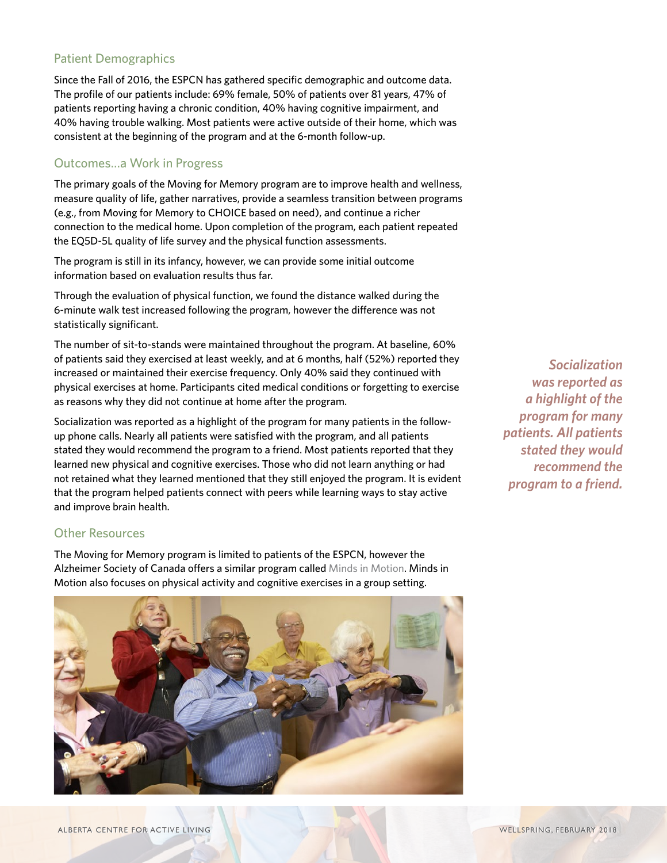### Patient Demographics

Since the Fall of 2016, the ESPCN has gathered specific demographic and outcome data. The profile of our patients include: 69% female, 50% of patients over 81 years, 47% of patients reporting having a chronic condition, 40% having cognitive impairment, and 40% having trouble walking. Most patients were active outside of their home, which was consistent at the beginning of the program and at the 6-month follow-up.

#### Outcomes…a Work in Progress

The primary goals of the Moving for Memory program are to improve health and wellness, measure quality of life, gather narratives, provide a seamless transition between programs (e.g., from Moving for Memory to CHOICE based on need), and continue a richer connection to the medical home. Upon completion of the program, each patient repeated the EQ5D-5L quality of life survey and the physical function assessments.

The program is still in its infancy, however, we can provide some initial outcome information based on evaluation results thus far.

Through the evaluation of physical function, we found the distance walked during the 6-minute walk test increased following the program, however the difference was not statistically significant.

The number of sit-to-stands were maintained throughout the program. At baseline, 60% of patients said they exercised at least weekly, and at 6 months, half (52%) reported they increased or maintained their exercise frequency. Only 40% said they continued with physical exercises at home. Participants cited medical conditions or forgetting to exercise as reasons why they did not continue at home after the program.

Socialization was reported as a highlight of the program for many patients in the followup phone calls. Nearly all patients were satisfied with the program, and all patients stated they would recommend the program to a friend. Most patients reported that they learned new physical and cognitive exercises. Those who did not learn anything or had not retained what they learned mentioned that they still enjoyed the program. It is evident that the program helped patients connect with peers while learning ways to stay active and improve brain health.

#### Other Resources

The Moving for Memory program is limited to patients of the ESPCN, however the Alzheimer Society of Canada offers a similar program called [Minds in Motion](http://www.alzheimer.ca/en/on/We-can-help/Minds-In-Motion). Minds in Motion also focuses on physical activity and cognitive exercises in a group setting.



*Socialization was reported as a highlight of the program for many patients. All patients stated they would recommend the program to a friend.*